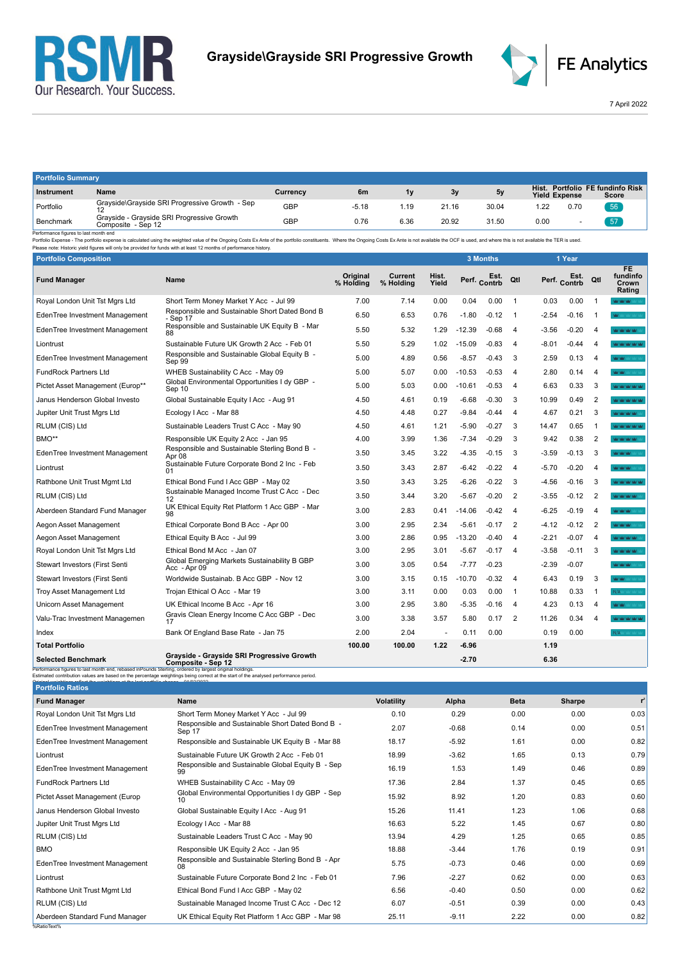



7 April 2022

| <b>Portfolio Summary</b>                                                                                                                                                                                                      |                                                                  |            |         |      |       |       |                      |      |                                           |
|-------------------------------------------------------------------------------------------------------------------------------------------------------------------------------------------------------------------------------|------------------------------------------------------------------|------------|---------|------|-------|-------|----------------------|------|-------------------------------------------|
| Instrument                                                                                                                                                                                                                    | Name                                                             | Currency   | 6m      | 1۷   | 3у    | 5y    | <b>Yield Expense</b> |      | Hist. Portfolio FE fundinfo Risk<br>Score |
| Portfolio                                                                                                                                                                                                                     | Grayside\Grayside SRI Progressive Growth - Sep                   | <b>GBP</b> | $-5.18$ | 1.19 | 21.16 | 30.04 | .22                  | 0.70 | 56                                        |
| Benchmark                                                                                                                                                                                                                     | Grayside - Grayside SRI Progressive Growth<br>Composite - Sep 12 | GBP        | 0.76    | 6.36 | 20.92 | 31.50 | 0.00                 |      | -57                                       |
| Performance figures to last month end                                                                                                                                                                                         |                                                                  |            |         |      |       |       |                      |      |                                           |
| Portfolio Expense - The portfolio expense is calculated using the weighted value of the Ongoing Costs Ex Ante of the portfolio constituents. Where the Ongoing Costs Ex Ante is not available the OCF is used, and where this |                                                                  |            |         |      |       |       |                      |      |                                           |
| Please note: Historic yield figures will only be provided for funds with at least 12 months of performance history.                                                                                                           |                                                                  |            |         |      |       |       |                      |      |                                           |

| <b>Portfolio Composition</b>                                                                            |                                                                                                                                     |                       |                      |                      |              | 3 Months |                |         | 1 Year               |                |                                          |
|---------------------------------------------------------------------------------------------------------|-------------------------------------------------------------------------------------------------------------------------------------|-----------------------|----------------------|----------------------|--------------|----------|----------------|---------|----------------------|----------------|------------------------------------------|
| <b>Fund Manager</b>                                                                                     | Name                                                                                                                                | Original<br>% Holding | Current<br>% Holding | Hist.<br>Yield       | Perf. Contrb | Est.     | Qtl            |         | Est.<br>Perf. Contrb | Qtl            | <b>FE</b><br>fundinfo<br>Crown<br>Rating |
| Royal London Unit Tst Mgrs Ltd                                                                          | Short Term Money Market Y Acc - Jul 99                                                                                              | 7.00                  | 7.14                 | 0.00                 | 0.04         | 0.00     | $\overline{1}$ | 0.03    | 0.00                 | $\mathbf{1}$   | <b>MOM WORK</b>                          |
| EdenTree Investment Management                                                                          | Responsible and Sustainable Short Dated Bond B<br>- Sep 17                                                                          | 6.50                  | 6.53                 | 0.76                 | $-1.80$      | $-0.12$  | $\overline{1}$ | $-2.54$ | $-0.16$              |                | <b>MAY</b> MAY MAY MAY 1                 |
| EdenTree Investment Management                                                                          | Responsible and Sustainable UK Equity B - Mar<br>88                                                                                 | 5.50                  | 5.32                 | 1.29                 | $-12.39$     | $-0.68$  | $\overline{4}$ | $-3.56$ | $-0.20$              | $\overline{4}$ | <b>ALCOHOL AND THE</b>                   |
| Liontrust                                                                                               | Sustainable Future UK Growth 2 Acc - Feb 01                                                                                         | 5.50                  | 5.29                 | 1.02                 | $-15.09$     | $-0.83$  | $\overline{4}$ | $-8.01$ | $-0.44$              | $\Delta$       | <b>Mar Yakr Yakr Yakr</b>                |
| EdenTree Investment Management                                                                          | Responsible and Sustainable Global Equity B -<br>Sep 99                                                                             | 5.00                  | 4.89                 | 0.56                 | $-8.57$      | $-0.43$  | 3              | 2.59    | 0.13                 | 4              | MOM :                                    |
| <b>FundRock Partners Ltd</b>                                                                            | WHEB Sustainability C Acc - May 09                                                                                                  | 5.00                  | 5.07                 | 0.00                 | $-10.53$     | $-0.53$  | $\overline{4}$ | 2.80    | 0.14                 | $\overline{4}$ | <b>WW</b>                                |
| Pictet Asset Management (Europ**                                                                        | Global Environmental Opportunities I dy GBP -<br>Sep 10                                                                             | 5.00                  | 5.03                 | 0.00                 | $-10.61$     | $-0.53$  | 4              | 6.63    | 0.33                 | 3              | an yan yan yan ya                        |
| Janus Henderson Global Investo                                                                          | Global Sustainable Equity I Acc - Aug 91                                                                                            | 4.50                  | 4.61                 | 0.19                 | $-6.68$      | $-0.30$  | 3              | 10.99   | 0.49                 | $\overline{2}$ | AC MONTAGE VALUE                         |
| Jupiter Unit Trust Mgrs Ltd                                                                             | Ecology I Acc - Mar 88                                                                                                              | 4.50                  | 4.48                 | 0.27                 | $-9.84$      | $-0.44$  | $\overline{4}$ | 4.67    | 0.21                 | 3              | <b>WAS NOT WARRANT</b>                   |
| RLUM (CIS) Ltd                                                                                          | Sustainable Leaders Trust C Acc - May 90                                                                                            | 4.50                  | 4.61                 | 1.21                 | $-5.90$      | $-0.27$  | 3              | 14.47   | 0.65                 | $\mathbf{1}$   | <b>WIMPOUL</b>                           |
| BMO**                                                                                                   | Responsible UK Equity 2 Acc - Jan 95                                                                                                | 4.00                  | 3.99                 | 1.36                 | $-7.34$      | $-0.29$  | 3              | 9.42    | 0.38                 | $\overline{2}$ | <b>ALCOHOL MAY 140</b>                   |
| EdenTree Investment Management                                                                          | Responsible and Sustainable Sterling Bond B -<br>Apr 08                                                                             | 3.50                  | 3.45                 | 3.22                 | $-4.35$      | $-0.15$  | 3              | $-3.59$ | $-0.13$              | 3              | <b>WAY MAY MAY</b>                       |
| Liontrust                                                                                               | Sustainable Future Corporate Bond 2 Inc - Feb<br>01                                                                                 | 3.50                  | 3.43                 | 2.87                 | $-6.42$      | $-0.22$  | $\overline{4}$ | $-5.70$ | $-0.20$              | $\overline{4}$ | <b>ALCOHOL:</b>                          |
| Rathbone Unit Trust Mgmt Ltd                                                                            | Ethical Bond Fund I Acc GBP - May 02                                                                                                | 3.50                  | 3.43                 | 3.25                 | $-6.26$      | $-0.22$  | 3              | -4.56   | $-0.16$              | 3              | an an an an air                          |
| RLUM (CIS) Ltd                                                                                          | Sustainable Managed Income Trust C Acc - Dec<br>12                                                                                  | 3.50                  | 3.44                 | 3.20                 | $-5.67$      | $-0.20$  | $\overline{2}$ | $-3.55$ | $-0.12$              | $\overline{2}$ | <b>WAS MALINES</b>                       |
| Aberdeen Standard Fund Manager                                                                          | UK Ethical Equity Ret Platform 1 Acc GBP - Mar<br>98                                                                                | 3.00                  | 2.83                 | 0.41                 | $-14.06$     | $-0.42$  | $\overline{4}$ | $-6.25$ | $-0.19$              | $\Delta$       | <b>ACCACCACC</b>                         |
| Aegon Asset Management                                                                                  | Ethical Corporate Bond B Acc - Apr 00                                                                                               | 3.00                  | 2.95                 | 2.34                 | $-5.61$      | $-0.17$  | $\overline{2}$ | $-4.12$ | $-0.12$              | $\overline{2}$ | <b>ACTACTAC</b>                          |
| Aegon Asset Management                                                                                  | Ethical Equity B Acc - Jul 99                                                                                                       | 3.00                  | 2.86                 | 0.95                 | $-13.20$     | $-0.40$  | 4              | $-2.21$ | $-0.07$              | $\overline{4}$ | ar yar yar yar                           |
| Royal London Unit Tst Mgrs Ltd                                                                          | Ethical Bond M Acc - Jan 07                                                                                                         | 3.00                  | 2.95                 | 3.01                 | $-5.67$      | $-0.17$  | $\overline{4}$ | $-3.58$ | $-0.11$              | 3              | <b>WAS NOT WARRANT</b>                   |
| <b>Stewart Investors (First Senti</b>                                                                   | Global Emerging Markets Sustainability B GBP<br>Acc - Apr 09                                                                        | 3.00                  | 3.05                 | 0.54                 | $-7.77$      | $-0.23$  |                | $-2.39$ | $-0.07$              |                | <b>WAY MAY</b>                           |
| <b>Stewart Investors (First Senti</b>                                                                   | Worldwide Sustainab, B Acc GBP - Nov 12                                                                                             | 3.00                  | 3.15                 | 0.15                 | $-10.70$     | $-0.32$  | $\overline{4}$ | 6.43    | 0.19                 | 3              | <b>WAY MAY</b>                           |
| <b>Troy Asset Management Ltd</b>                                                                        | Trojan Ethical O Acc - Mar 19                                                                                                       | 3.00                  | 3.11                 | 0.00                 | 0.03         | 0.00     | $\overline{1}$ | 10.88   | 0.33                 |                | <b>N/A</b> Market Market                 |
| Unicorn Asset Management                                                                                | UK Ethical Income B Acc - Apr 16                                                                                                    | 3.00                  | 2.95                 | 3.80                 | $-5.35$      | $-0.16$  | $\overline{4}$ | 4.23    | 0.13                 | $\overline{4}$ | <b>MOMENT CONTRACT</b>                   |
| Valu-Trac Investment Managemen                                                                          | Gravis Clean Energy Income C Acc GBP - Dec<br>17                                                                                    | 3.00                  | 3.38                 | 3.57                 | 5.80         | 0.17     | $\overline{2}$ | 11.26   | 0.34                 | $\overline{4}$ | <b>MOMENTAL MACINE</b>                   |
| Index                                                                                                   | Bank Of England Base Rate - Jan 75                                                                                                  | 2.00                  | 2.04                 | $\ddot{\phantom{1}}$ | 0.11         | 0.00     |                | 0.19    | 0.00                 |                | N/A Marian                               |
| <b>Total Portfolio</b>                                                                                  |                                                                                                                                     | 100.00                | 100.00               | 1.22                 | $-6.96$      |          |                | 1.19    |                      |                |                                          |
| <b>Selected Benchmark</b>                                                                               | Grayside - Grayside SRI Progressive Growth<br>Composite - Sep 12                                                                    |                       |                      |                      | $-2.70$      |          |                | 6.36    |                      |                |                                          |
| Performance figures to last month end, rebased inPounds Sterling, ordered by largest original holdings. | Estimated contribution values are based on the percentage weightings being correct at the start of the analysed performance period. |                       |                      |                      |              |          |                |         |                      |                |                                          |

| <b>Portfolio Ratios</b>        |                                                            |                   |         |             |        |       |
|--------------------------------|------------------------------------------------------------|-------------------|---------|-------------|--------|-------|
| <b>Fund Manager</b>            | Name                                                       | <b>Volatility</b> | Alpha   | <b>Beta</b> | Sharpe | $r^2$ |
| Royal London Unit Tst Mgrs Ltd | Short Term Money Market Y Acc - Jul 99                     | 0.10              | 0.29    | 0.00        | 0.00   | 0.03  |
| EdenTree Investment Management | Responsible and Sustainable Short Dated Bond B -<br>Sep 17 | 2.07              | $-0.68$ | 0.14        | 0.00   | 0.51  |
| EdenTree Investment Management | Responsible and Sustainable UK Equity B - Mar 88           | 18.17             | $-5.92$ | 1.61        | 0.00   | 0.82  |
| Liontrust                      | Sustainable Future UK Growth 2 Acc - Feb 01                | 18.99             | $-3.62$ | 1.65        | 0.13   | 0.79  |
| EdenTree Investment Management | Responsible and Sustainable Global Equity B - Sep<br>99    | 16.19             | 1.53    | 1.49        | 0.46   | 0.89  |
| <b>FundRock Partners Ltd</b>   | WHEB Sustainability C Acc - May 09                         | 17.36             | 2.84    | 1.37        | 0.45   | 0.65  |
| Pictet Asset Management (Europ | Global Environmental Opportunities I dy GBP - Sep<br>10    | 15.92             | 8.92    | 1.20        | 0.83   | 0.60  |
| Janus Henderson Global Investo | Global Sustainable Equity I Acc - Aug 91                   | 15.26             | 11.41   | 1.23        | 1.06   | 0.68  |
| Jupiter Unit Trust Mgrs Ltd    | Ecology   Acc - Mar 88                                     | 16.63             | 5.22    | 1.45        | 0.67   | 0.80  |
| RLUM (CIS) Ltd                 | Sustainable Leaders Trust C Acc - May 90                   | 13.94             | 4.29    | 1.25        | 0.65   | 0.85  |
| <b>BMO</b>                     | Responsible UK Equity 2 Acc - Jan 95                       | 18.88             | $-3.44$ | 1.76        | 0.19   | 0.91  |
| EdenTree Investment Management | Responsible and Sustainable Sterling Bond B - Apr<br>08    | 5.75              | $-0.73$ | 0.46        | 0.00   | 0.69  |
| Liontrust                      | Sustainable Future Corporate Bond 2 Inc - Feb 01           | 7.96              | $-2.27$ | 0.62        | 0.00   | 0.63  |
| Rathbone Unit Trust Mgmt Ltd   | Ethical Bond Fund I Acc GBP - May 02                       | 6.56              | $-0.40$ | 0.50        | 0.00   | 0.62  |
| RLUM (CIS) Ltd                 | Sustainable Managed Income Trust C Acc - Dec 12            | 6.07              | $-0.51$ | 0.39        | 0.00   | 0.43  |
| Aberdeen Standard Fund Manager | UK Ethical Equity Ret Platform 1 Acc GBP - Mar 98          | 25.11             | $-9.11$ | 2.22        | 0.00   | 0.82  |
| %RatioText%                    |                                                            |                   |         |             |        |       |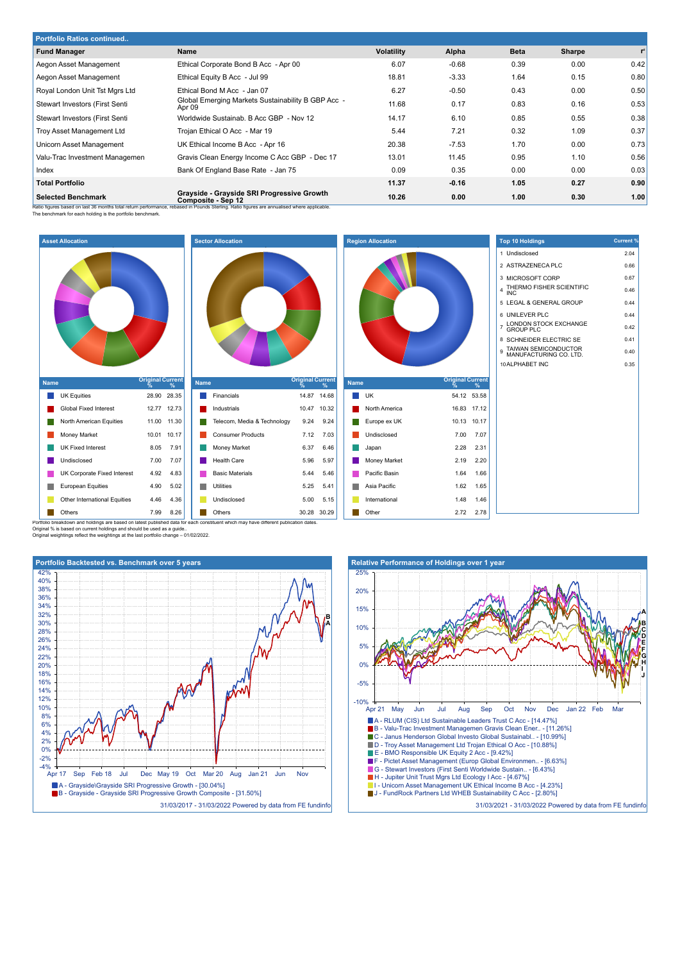| <b>Portfolio Ratios continued</b>     |                                                                                                                                                                                                                |                   |         |             |        |      |  |  |
|---------------------------------------|----------------------------------------------------------------------------------------------------------------------------------------------------------------------------------------------------------------|-------------------|---------|-------------|--------|------|--|--|
| <b>Fund Manager</b>                   | Name                                                                                                                                                                                                           | <b>Volatility</b> | Alpha   | <b>Beta</b> | Sharpe | r    |  |  |
| Aegon Asset Management                | Ethical Corporate Bond B Acc - Apr 00                                                                                                                                                                          | 6.07              | $-0.68$ | 0.39        | 0.00   | 0.42 |  |  |
| Aegon Asset Management                | Ethical Equity B Acc - Jul 99                                                                                                                                                                                  | 18.81             | $-3.33$ | 1.64        | 0.15   | 0.80 |  |  |
| Royal London Unit Tst Mgrs Ltd        | Ethical Bond M Acc - Jan 07                                                                                                                                                                                    | 6.27              | $-0.50$ | 0.43        | 0.00   | 0.50 |  |  |
| <b>Stewart Investors (First Senti</b> | Global Emerging Markets Sustainability B GBP Acc -<br>Apr 09                                                                                                                                                   | 11.68             | 0.17    | 0.83        | 0.16   | 0.53 |  |  |
| Stewart Investors (First Senti        | Worldwide Sustainab, B Acc GBP - Nov 12                                                                                                                                                                        | 14.17             | 6.10    | 0.85        | 0.55   | 0.38 |  |  |
| Troy Asset Management Ltd             | Trojan Ethical O Acc - Mar 19                                                                                                                                                                                  | 5.44              | 7.21    | 0.32        | 1.09   | 0.37 |  |  |
| Unicorn Asset Management              | UK Ethical Income B Acc - Apr 16                                                                                                                                                                               | 20.38             | $-7.53$ | 1.70        | 0.00   | 0.73 |  |  |
| Valu-Trac Investment Managemen        | Gravis Clean Energy Income C Acc GBP - Dec 17                                                                                                                                                                  | 13.01             | 11.45   | 0.95        | 1.10   | 0.56 |  |  |
| Index                                 | Bank Of England Base Rate - Jan 75                                                                                                                                                                             | 0.09              | 0.35    | 0.00        | 0.00   | 0.03 |  |  |
| <b>Total Portfolio</b>                |                                                                                                                                                                                                                | 11.37             | $-0.16$ | 1.05        | 0.27   | 0.90 |  |  |
| <b>Selected Benchmark</b>             | Grayside - Grayside SRI Progressive Growth<br>Composite - Sep 12<br>Jotio figures besed on lost 26 months total return norformance, rebegad in Dounda Starling. Datio figures are annualized where analizedial | 10.26             | 0.00    | 1.00        | 0.30   | 1.00 |  |  |

Ratio figures based on last 36 months total return performance, rebased in Pounds Sterling. Ratio figures are annualised where applicable.<br>The benchmark for each holding is the portfolio benchmark.